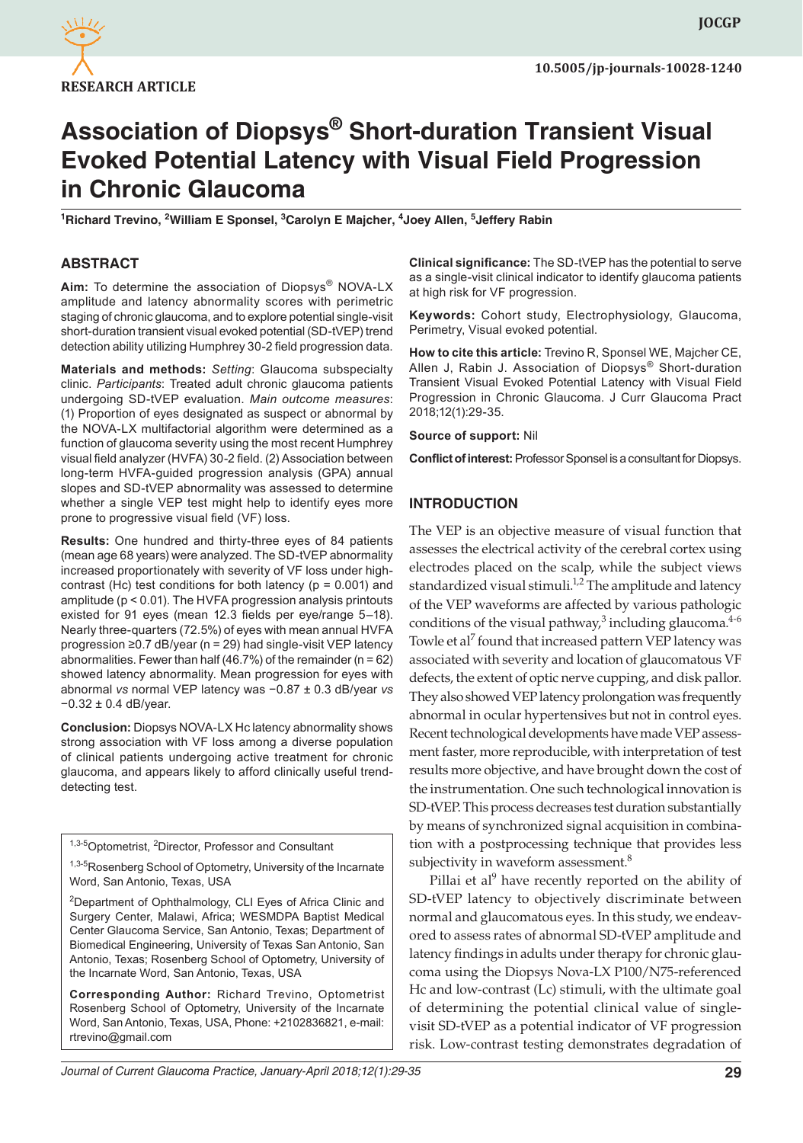

# **Association of Diopsys® Short-duration Transient Visual Evoked Potential Latency with Visual Field Progression in Chronic Glaucoma**

<sup>1</sup>Richard Trevino, <sup>2</sup>William E Sponsel, <sup>3</sup>Carolyn E Majcher, <sup>4</sup>Joey Allen, <sup>5</sup>Jeffery Rabin

#### **ABSTRACT**

**Aim:** To determine the association of Diopsys® NOVA-LX amplitude and latency abnormality scores with perimetric staging of chronic glaucoma, and to explore potential single-visit short-duration transient visual evoked potential (SD-tVEP) trend detection ability utilizing Humphrey 30-2 field progression data.

**Materials and methods:** *Setting*: Glaucoma subspecialty clinic. *Participants*: Treated adult chronic glaucoma patients undergoing SD-tVEP evaluation. *Main outcome measures*: (1) Proportion of eyes designated as suspect or abnormal by the NOVA-LX multifactorial algorithm were determined as a function of glaucoma severity using the most recent Humphrey visual field analyzer (HVFA) 30-2 field. (2) Association between long-term HVFA-guided progression analysis (GPA) annual slopes and SD-tVEP abnormality was assessed to determine whether a single VEP test might help to identify eyes more prone to progressive visual field (VF) loss.

**Results:** One hundred and thirty-three eyes of 84 patients (mean age 68 years) were analyzed. The SD-tVEP abnormality increased proportionately with severity of VF loss under highcontrast (Hc) test conditions for both latency ( $p = 0.001$ ) and amplitude (p < 0.01). The HVFA progression analysis printouts existed for 91 eyes (mean 12.3 fields per eye/range 5–18). Nearly three-quarters (72.5%) of eyes with mean annual HVFA progression ≥0.7 dB/year (n = 29) had single-visit VEP latency abnormalities. Fewer than half (46.7%) of the remainder ( $n = 62$ ) showed latency abnormality. Mean progression for eyes with abnormal *vs* normal VEP latency was −0.87 ± 0.3 dB/year *vs* −0.32 ± 0.4 dB/year.

**Conclusion:** Diopsys NOVA-LX Hc latency abnormality shows strong association with VF loss among a diverse population of clinical patients undergoing active treatment for chronic glaucoma, and appears likely to afford clinically useful trenddetecting test.

1,3-5 Optometrist, <sup>2</sup> Director, Professor and Consultant

<sup>1,3-5</sup>Rosenberg School of Optometry, University of the Incarnate Word, San Antonio, Texas, USA

<sup>2</sup>Department of Ophthalmology, CLI Eyes of Africa Clinic and Surgery Center, Malawi, Africa; WESMDPA Baptist Medical Center Glaucoma Service, San Antonio, Texas; Department of Biomedical Engineering, University of Texas San Antonio, San Antonio, Texas; Rosenberg School of Optometry, University of the Incarnate Word, San Antonio, Texas, USA

**Corresponding Author:** Richard Trevino, Optometrist Rosenberg School of Optometry, University of the Incarnate Word, San Antonio, Texas, USA, Phone: +2102836821, e-mail: rtrevino@gmail.com

**Clinical significance:** The SD-tVEP has the potential to serve as a single-visit clinical indicator to identify glaucoma patients at high risk for VF progression.

**Keywords:** Cohort study, Electrophysiology, Glaucoma, Perimetry, Visual evoked potential.

**How to cite this article:** Trevino R, Sponsel WE, Majcher CE, Allen J, Rabin J. Association of Diopsys® Short-duration Transient Visual Evoked Potential Latency with Visual Field Progression in Chronic Glaucoma. J Curr Glaucoma Pract 2018;12(1):29-35.

**Source of support:** Nil

**Conflict of interest:** Professor Sponsel is a consultant for Diopsys.

#### **INTRODUCTION**

The VEP is an objective measure of visual function that assesses the electrical activity of the cerebral cortex using electrodes placed on the scalp, while the subject views standardized visual stimuli.<sup>1,2</sup> The amplitude and latency of the VEP waveforms are affected by various pathologic conditions of the visual pathway, $3$  including glaucoma. $4-6$ Towle et al<sup>7</sup> found that increased pattern VEP latency was associated with severity and location of glaucomatous VF defects, the extent of optic nerve cupping, and disk pallor. They also showed VEP latency prolongation was frequently abnormal in ocular hypertensives but not in control eyes. Recent technological developments have made VEP assessment faster, more reproducible, with interpretation of test results more objective, and have brought down the cost of the instrumentation. One such technological innovation is SD-tVEP. This process decreases test duration substantially by means of synchronized signal acquisition in combination with a postprocessing technique that provides less subjectivity in waveform assessment.<sup>8</sup>

Pillai et al<sup>9</sup> have recently reported on the ability of SD-tVEP latency to objectively discriminate between normal and glaucomatous eyes. In this study, we endeavored to assess rates of abnormal SD-tVEP amplitude and latency findings in adults under therapy for chronic glaucoma using the Diopsys Nova-LX P100/N75-referenced Hc and low-contrast (Lc) stimuli, with the ultimate goal of determining the potential clinical value of singlevisit SD-tVEP as a potential indicator of VF progression risk. Low-contrast testing demonstrates degradation of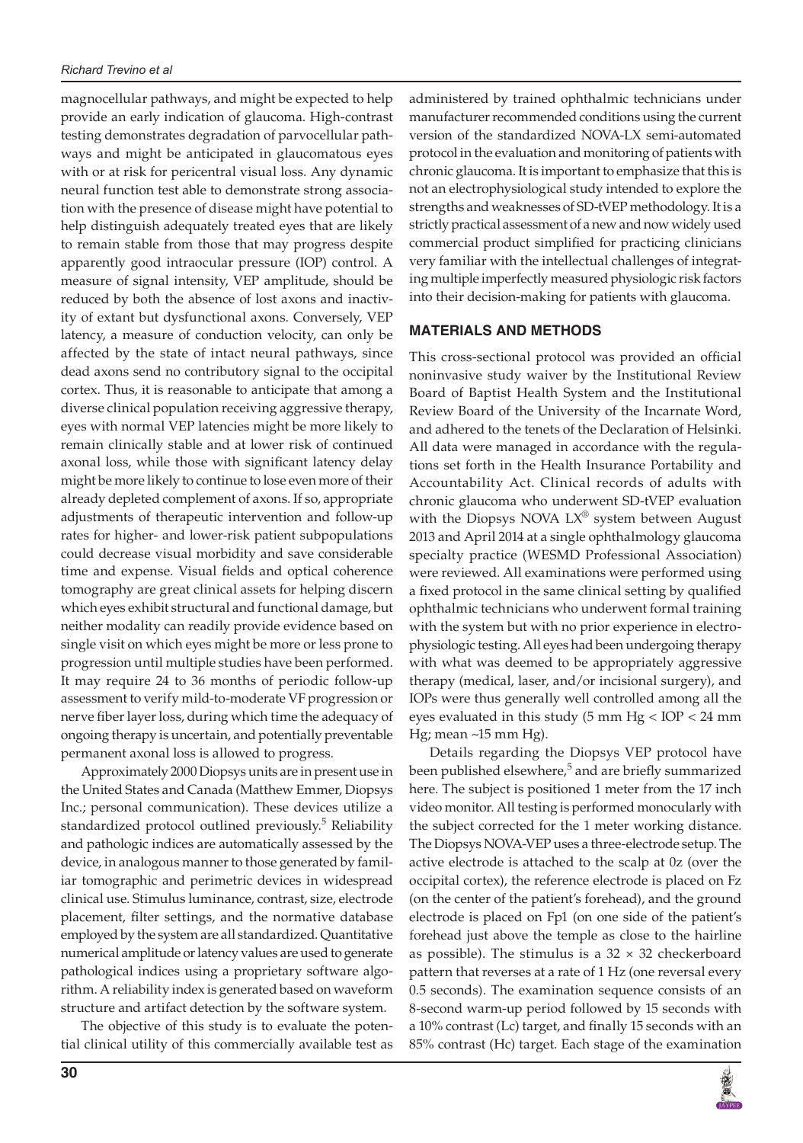magnocellular pathways, and might be expected to help provide an early indication of glaucoma. High-contrast testing demonstrates degradation of parvocellular pathways and might be anticipated in glaucomatous eyes with or at risk for pericentral visual loss. Any dynamic neural function test able to demonstrate strong association with the presence of disease might have potential to help distinguish adequately treated eyes that are likely to remain stable from those that may progress despite apparently good intraocular pressure (IOP) control. A measure of signal intensity, VEP amplitude, should be reduced by both the absence of lost axons and inactivity of extant but dysfunctional axons. Conversely, VEP latency, a measure of conduction velocity, can only be affected by the state of intact neural pathways, since dead axons send no contributory signal to the occipital cortex. Thus, it is reasonable to anticipate that among a diverse clinical population receiving aggressive therapy, eyes with normal VEP latencies might be more likely to remain clinically stable and at lower risk of continued axonal loss, while those with significant latency delay might be more likely to continue to lose even more of their already depleted complement of axons. If so, appropriate adjustments of therapeutic intervention and follow-up rates for higher- and lower-risk patient subpopulations could decrease visual morbidity and save considerable time and expense. Visual fields and optical coherence tomography are great clinical assets for helping discern which eyes exhibit structural and functional damage, but neither modality can readily provide evidence based on single visit on which eyes might be more or less prone to progression until multiple studies have been performed. It may require 24 to 36 months of periodic follow-up assessment to verify mild-to-moderate VF progression or nerve fiber layer loss, during which time the adequacy of ongoing therapy is uncertain, and potentially preventable permanent axonal loss is allowed to progress.

Approximately 2000 Diopsys units are in present use in the United States and Canada (Matthew Emmer, Diopsys Inc.; personal communication). These devices utilize a standardized protocol outlined previously.<sup>5</sup> Reliability and pathologic indices are automatically assessed by the device, in analogous manner to those generated by familiar tomographic and perimetric devices in widespread clinical use. Stimulus luminance, contrast, size, electrode placement, filter settings, and the normative database employed by the system are all standardized. Quantitative numerical amplitude or latency values are used to generate pathological indices using a proprietary software algorithm. A reliability index is generated based on waveform structure and artifact detection by the software system.

The objective of this study is to evaluate the potential clinical utility of this commercially available test as administered by trained ophthalmic technicians under manufacturer recommended conditions using the current version of the standardized NOVA-LX semi-automated protocol in the evaluation and monitoring of patients with chronic glaucoma. It is important to emphasize that this is not an electrophysiological study intended to explore the strengths and weaknesses of SD-tVEP methodology. It is a strictly practical assessment of a new and now widely used commercial product simplified for practicing clinicians very familiar with the intellectual challenges of integrating multiple imperfectly measured physiologic risk factors into their decision-making for patients with glaucoma.

### **MATERIALS AND METHODS**

This cross-sectional protocol was provided an official noninvasive study waiver by the Institutional Review Board of Baptist Health System and the Institutional Review Board of the University of the Incarnate Word, and adhered to the tenets of the Declaration of Helsinki. All data were managed in accordance with the regulations set forth in the Health Insurance Portability and Accountability Act. Clinical records of adults with chronic glaucoma who underwent SD-tVEP evaluation with the Diopsys NOVA  $LX^{\circledast}$  system between August 2013 and April 2014 at a single ophthalmology glaucoma specialty practice (WESMD Professional Association) were reviewed. All examinations were performed using a fixed protocol in the same clinical setting by qualified ophthalmic technicians who underwent formal training with the system but with no prior experience in electrophysiologic testing. All eyes had been undergoing therapy with what was deemed to be appropriately aggressive therapy (medical, laser, and/or incisional surgery), and IOPs were thus generally well controlled among all the eyes evaluated in this study (5 mm Hg < IOP < 24 mm Hg; mean ~15 mm Hg).

Details regarding the Diopsys VEP protocol have been published elsewhere,<sup>5</sup> and are briefly summarized here. The subject is positioned 1 meter from the 17 inch video monitor. All testing is performed monocularly with the subject corrected for the 1 meter working distance. The Diopsys NOVA-VEP uses a three-electrode setup. The active electrode is attached to the scalp at 0z (over the occipital cortex), the reference electrode is placed on Fz (on the center of the patient's forehead), and the ground electrode is placed on Fp1 (on one side of the patient's forehead just above the temple as close to the hairline as possible). The stimulus is a  $32 \times 32$  checkerboard pattern that reverses at a rate of 1 Hz (one reversal every 0.5 seconds). The examination sequence consists of an 8-second warm-up period followed by 15 seconds with a 10% contrast (Lc) target, and finally 15 seconds with an 85% contrast (Hc) target. Each stage of the examination

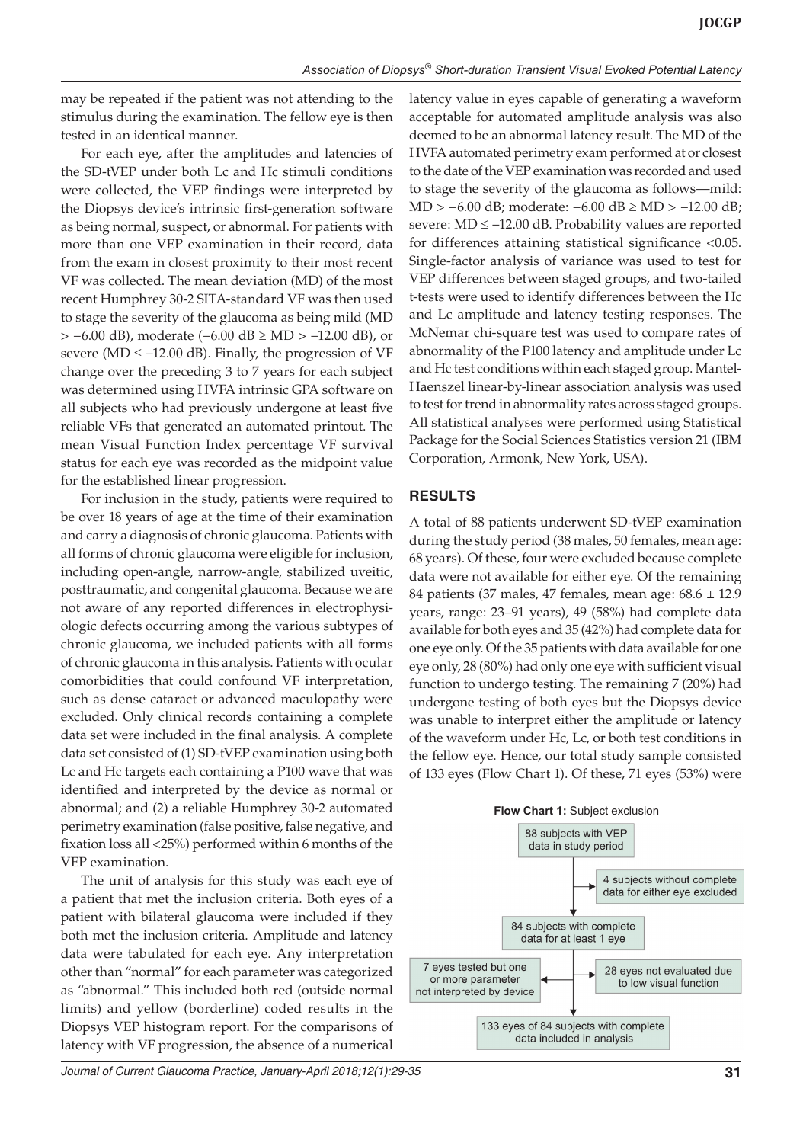may be repeated if the patient was not attending to the stimulus during the examination. The fellow eye is then tested in an identical manner.

For each eye, after the amplitudes and latencies of the SD-tVEP under both Lc and Hc stimuli conditions were collected, the VEP findings were interpreted by the Diopsys device's intrinsic first-generation software as being normal, suspect, or abnormal. For patients with more than one VEP examination in their record, data from the exam in closest proximity to their most recent VF was collected. The mean deviation (MD) of the most recent Humphrey 30-2 SITA-standard VF was then used to stage the severity of the glaucoma as being mild (MD > −6.00 dB), moderate (−6.00 dB ≥ MD > −12.00 dB), or severe (MD  $\leq$  -12.00 dB). Finally, the progression of VF change over the preceding 3 to 7 years for each subject was determined using HVFA intrinsic GPA software on all subjects who had previously undergone at least five reliable VFs that generated an automated printout. The mean Visual Function Index percentage VF survival status for each eye was recorded as the midpoint value for the established linear progression.

For inclusion in the study, patients were required to be over 18 years of age at the time of their examination and carry a diagnosis of chronic glaucoma. Patients with all forms of chronic glaucoma were eligible for inclusion, including open-angle, narrow-angle, stabilized uveitic, posttraumatic, and congenital glaucoma. Because we are not aware of any reported differences in electrophysiologic defects occurring among the various subtypes of chronic glaucoma, we included patients with all forms of chronic glaucoma in this analysis. Patients with ocular comorbidities that could confound VF interpretation, such as dense cataract or advanced maculopathy were excluded. Only clinical records containing a complete data set were included in the final analysis. A complete data set consisted of (1) SD-tVEP examination using both Lc and Hc targets each containing a P100 wave that was identified and interpreted by the device as normal or abnormal; and (2) a reliable Humphrey 30-2 automated perimetry examination (false positive, false negative, and fixation loss all <25%) performed within 6 months of the VEP examination.

The unit of analysis for this study was each eye of a patient that met the inclusion criteria. Both eyes of a patient with bilateral glaucoma were included if they both met the inclusion criteria. Amplitude and latency data were tabulated for each eye. Any interpretation other than "normal" for each parameter was categorized as "abnormal." This included both red (outside normal limits) and yellow (borderline) coded results in the Diopsys VEP histogram report. For the comparisons of latency with VF progression, the absence of a numerical

latency value in eyes capable of generating a waveform acceptable for automated amplitude analysis was also deemed to be an abnormal latency result. The MD of the HVFA automated perimetry exam performed at or closest to the date of the VEP examination was recorded and used to stage the severity of the glaucoma as follows—mild: MD > −6.00 dB; moderate: −6.00 dB ≥ MD > −12.00 dB; severe: MD ≤ −12.00 dB. Probability values are reported for differences attaining statistical significance <0.05. Single-factor analysis of variance was used to test for VEP differences between staged groups, and two-tailed t-tests were used to identify differences between the Hc and Lc amplitude and latency testing responses. The McNemar chi-square test was used to compare rates of abnormality of the P100 latency and amplitude under Lc and Hc test conditions within each staged group. Mantel-Haenszel linear-by-linear association analysis was used to test for trend in abnormality rates across staged groups. All statistical analyses were performed using Statistical Package for the Social Sciences Statistics version 21 (IBM Corporation, Armonk, New York, USA).

#### **RESULTS**

A total of 88 patients underwent SD-tVEP examination during the study period (38 males, 50 females, mean age: 68 years). Of these, four were excluded because complete data were not available for either eye. Of the remaining 84 patients (37 males, 47 females, mean age: 68.6 ± 12.9 years, range: 23–91 years), 49 (58%) had complete data available for both eyes and 35 (42%) had complete data for one eye only. Of the 35 patients with data available for one eye only, 28 (80%) had only one eye with sufficient visual function to undergo testing. The remaining 7 (20%) had undergone testing of both eyes but the Diopsys device was unable to interpret either the amplitude or latency of the waveform under Hc, Lc, or both test conditions in the fellow eye. Hence, our total study sample consisted of 133 eyes (Flow Chart 1). Of these, 71 eyes (53%) were



*Journal of Current Glaucoma Practice, January-April 2018;12(1):29-35* **31**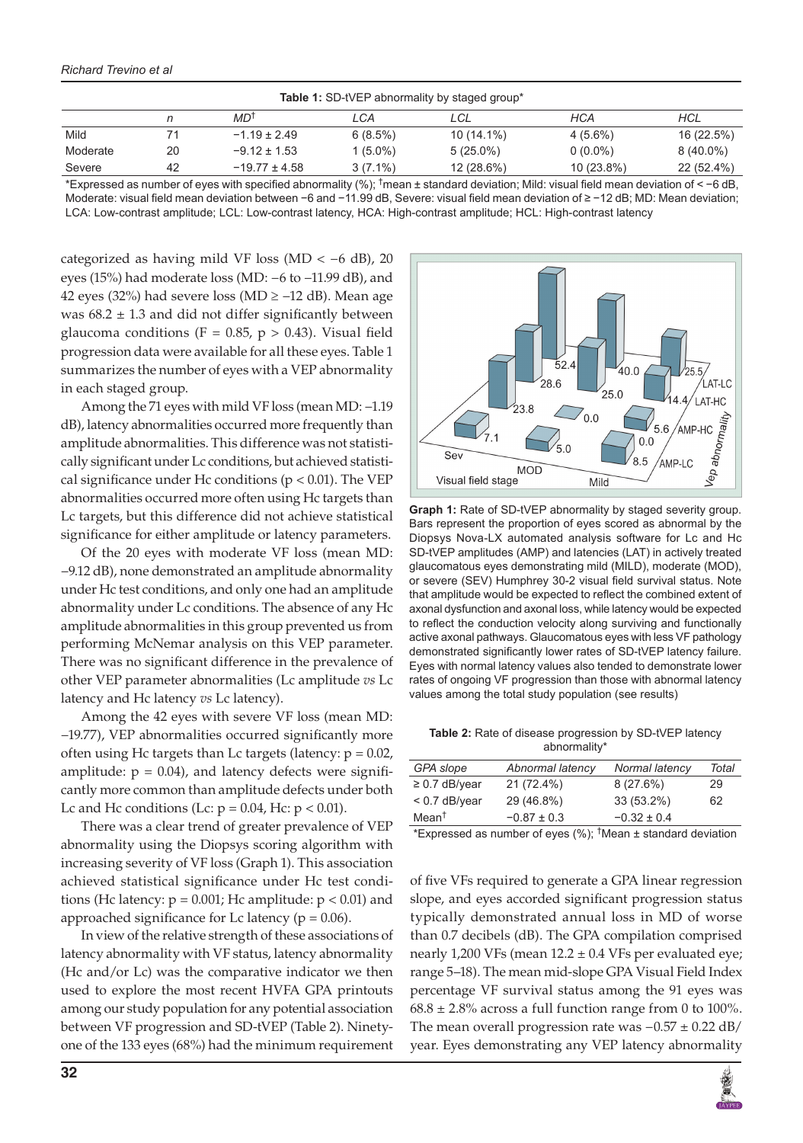#### *Richard Trevino et al*

| <b>Table 1:</b> SD-tVEP abnormality by staged group* |    |                   |            |             |            |             |
|------------------------------------------------------|----|-------------------|------------|-------------|------------|-------------|
|                                                      |    | MD <sup>t</sup>   | LCA        | LCL         | HCA        | HCL         |
| Mild                                                 |    | $-1.19 \pm 2.49$  | 6(8.5%)    | 10 (14.1%)  | $4(5.6\%)$ | 16 (22.5%)  |
| Moderate                                             | 20 | $-9.12 \pm 1.53$  | $1(5.0\%)$ | $5(25.0\%)$ | $0(0.0\%)$ | $8(40.0\%)$ |
| Severe                                               | 42 | $-19.77 \pm 4.58$ | $3(7.1\%)$ | 12 (28.6%)  | 10 (23.8%) | 22 (52.4%)  |
|                                                      |    |                   |            |             |            |             |

\*Expressed as number of eyes with specified abnormality (%); † mean ± standard deviation; Mild: visual field mean deviation of < −6 dB, Moderate: visual field mean deviation between −6 and −11.99 dB, Severe: visual field mean deviation of ≥ −12 dB; MD: Mean deviation; LCA: Low-contrast amplitude; LCL: Low-contrast latency, HCA: High-contrast amplitude; HCL: High-contrast latency

categorized as having mild VF loss (MD < −6 dB), 20 eyes (15%) had moderate loss (MD: −6 to −11.99 dB), and 42 eyes (32%) had severe loss (MD ≥ −12 dB). Mean age was  $68.2 \pm 1.3$  and did not differ significantly between glaucoma conditions (F = 0.85,  $p > 0.43$ ). Visual field progression data were available for all these eyes. Table 1 summarizes the number of eyes with a VEP abnormality in each staged group.

Among the 71 eyes with mild VF loss (mean MD: −1.19 dB), latency abnormalities occurred more frequently than amplitude abnormalities. This difference was not statistically significant under Lc conditions, but achieved statistical significance under Hc conditions ( $p < 0.01$ ). The VEP abnormalities occurred more often using Hc targets than Lc targets, but this difference did not achieve statistical significance for either amplitude or latency parameters.

Of the 20 eyes with moderate VF loss (mean MD: −9.12 dB), none demonstrated an amplitude abnormality under Hc test conditions, and only one had an amplitude abnormality under Lc conditions. The absence of any Hc amplitude abnormalities in this group prevented us from performing McNemar analysis on this VEP parameter. There was no significant difference in the prevalence of other VEP parameter abnormalities (Lc amplitude *vs* Lc latency and Hc latency *vs* Lc latency).

Among the 42 eyes with severe VF loss (mean MD: −19.77), VEP abnormalities occurred significantly more often using Hc targets than Lc targets (latency:  $p = 0.02$ , amplitude:  $p = 0.04$ ), and latency defects were significantly more common than amplitude defects under both Lc and Hc conditions (Lc:  $p = 0.04$ , Hc:  $p < 0.01$ ).

There was a clear trend of greater prevalence of VEP abnormality using the Diopsys scoring algorithm with increasing severity of VF loss (Graph 1). This association achieved statistical significance under Hc test conditions (Hc latency:  $p = 0.001$ ; Hc amplitude:  $p < 0.01$ ) and approached significance for Lc latency ( $p = 0.06$ ).

In view of the relative strength of these associations of latency abnormality with VF status, latency abnormality (Hc and/or Lc) was the comparative indicator we then used to explore the most recent HVFA GPA printouts among our study population for any potential association between VF progression and SD-tVEP (Table 2). Ninetyone of the 133 eyes (68%) had the minimum requirement



**Graph 1:** Rate of SD-tVEP abnormality by staged severity group. Bars represent the proportion of eyes scored as abnormal by the Diopsys Nova-LX automated analysis software for Lc and Hc SD-tVEP amplitudes (AMP) and latencies (LAT) in actively treated glaucomatous eyes demonstrating mild (MILD), moderate (MOD), or severe (SEV) Humphrey 30-2 visual field survival status. Note that amplitude would be expected to reflect the combined extent of axonal dysfunction and axonal loss, while latency would be expected to reflect the conduction velocity along surviving and functionally active axonal pathways. Glaucomatous eyes with less VF pathology demonstrated significantly lower rates of SD-tVEP latency failure. Eyes with normal latency values also tended to demonstrate lower rates of ongoing VF progression than those with abnormal latency values among the total study population (see results)

**Table 2:** Rate of disease progression by SD-tVEP latency abnormality\*

| GPA slope          | Abnormal latency | Normal latency  | Total |
|--------------------|------------------|-----------------|-------|
| $\geq$ 0.7 dB/year | 21 (72.4%)       | 8(27.6%)        | 29    |
| $< 0.7$ dB/year    | 29 (46.8%)       | 33 (53.2%)      | 62    |
| Mean <sup>†</sup>  | $-0.87 \pm 0.3$  | $-0.32 \pm 0.4$ |       |

\*Expressed as number of eyes (%); † Mean ± standard deviation

of five VFs required to generate a GPA linear regression slope, and eyes accorded significant progression status typically demonstrated annual loss in MD of worse than 0.7 decibels (dB). The GPA compilation comprised nearly 1,200 VFs (mean  $12.2 \pm 0.4$  VFs per evaluated eye; range 5–18). The mean mid-slope GPA Visual Field Index percentage VF survival status among the 91 eyes was  $68.8 \pm 2.8\%$  across a full function range from 0 to 100%. The mean overall progression rate was  $-0.57 \pm 0.22$  dB/ year. Eyes demonstrating any VEP latency abnormality

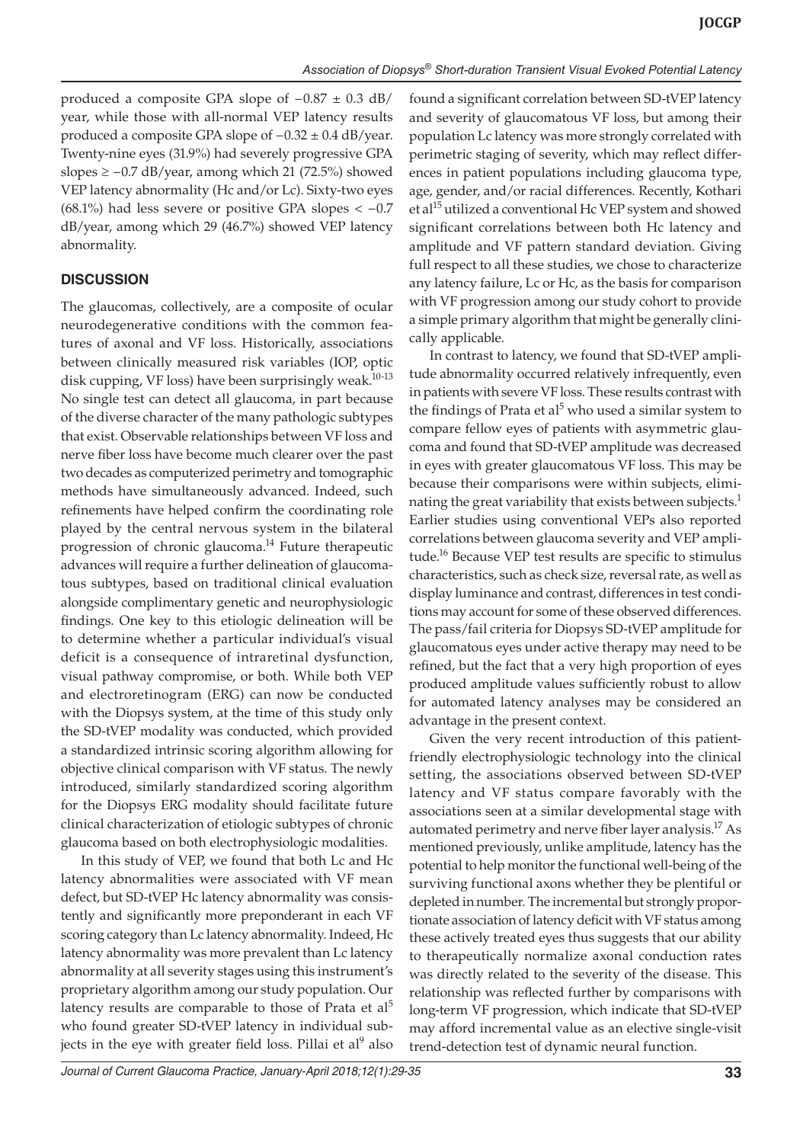produced a composite GPA slope of −0.87 ± 0.3 dB/ year, while those with all-normal VEP latency results produced a composite GPA slope of −0.32 ± 0.4 dB/year. Twenty-nine eyes (31.9%) had severely progressive GPA slopes ≥ −0.7 dB/year, among which 21 (72.5%) showed VEP latency abnormality (Hc and/or Lc). Sixty-two eyes  $(68.1\%)$  had less severe or positive GPA slopes  $<-0.7$ dB/year, among which 29 (46.7%) showed VEP latency abnormality.

## **DISCUSSION**

The glaucomas, collectively, are a composite of ocular neurodegenerative conditions with the common features of axonal and VF loss. Historically, associations between clinically measured risk variables (IOP, optic disk cupping, VF loss) have been surprisingly weak.<sup>10-13</sup> No single test can detect all glaucoma, in part because of the diverse character of the many pathologic subtypes that exist. Observable relationships between VF loss and nerve fiber loss have become much clearer over the past two decades as computerized perimetry and tomographic methods have simultaneously advanced. Indeed, such refinements have helped confirm the coordinating role played by the central nervous system in the bilateral progression of chronic glaucoma.<sup>14</sup> Future therapeutic advances will require a further delineation of glaucomatous subtypes, based on traditional clinical evaluation alongside complimentary genetic and neurophysiologic findings. One key to this etiologic delineation will be to determine whether a particular individual's visual deficit is a consequence of intraretinal dysfunction, visual pathway compromise, or both. While both VEP and electroretinogram (ERG) can now be conducted with the Diopsys system, at the time of this study only the SD-tVEP modality was conducted, which provided a standardized intrinsic scoring algorithm allowing for objective clinical comparison with VF status. The newly introduced, similarly standardized scoring algorithm for the Diopsys ERG modality should facilitate future clinical characterization of etiologic subtypes of chronic glaucoma based on both electrophysiologic modalities.

In this study of VEP, we found that both Lc and Hc latency abnormalities were associated with VF mean defect, but SD-tVEP Hc latency abnormality was consistently and significantly more preponderant in each VF scoring category than Lc latency abnormality. Indeed, Hc latency abnormality was more prevalent than Lc latency abnormality at all severity stages using this instrument's proprietary algorithm among our study population. Our latency results are comparable to those of Prata et  $al<sup>5</sup>$ who found greater SD-tVEP latency in individual subjects in the eye with greater field loss. Pillai et al<sup>9</sup> also found a significant correlation between SD-tVEP latency and severity of glaucomatous VF loss, but among their population Lc latency was more strongly correlated with perimetric staging of severity, which may reflect differences in patient populations including glaucoma type, age, gender, and/or racial differences. Recently, Kothari et al<sup>15</sup> utilized a conventional Hc VEP system and showed significant correlations between both Hc latency and amplitude and VF pattern standard deviation. Giving full respect to all these studies, we chose to characterize any latency failure, Lc or Hc, as the basis for comparison with VF progression among our study cohort to provide a simple primary algorithm that might be generally clinically applicable.

In contrast to latency, we found that SD-tVEP amplitude abnormality occurred relatively infrequently, even in patients with severe VF loss. These results contrast with the findings of Prata et al<sup>5</sup> who used a similar system to compare fellow eyes of patients with asymmetric glaucoma and found that SD-tVEP amplitude was decreased in eyes with greater glaucomatous VF loss. This may be because their comparisons were within subjects, eliminating the great variability that exists between subjects. $<sup>1</sup>$ </sup> Earlier studies using conventional VEPs also reported correlations between glaucoma severity and VEP amplitude.<sup>16</sup> Because VEP test results are specific to stimulus characteristics, such as check size, reversal rate, as well as display luminance and contrast, differences in test conditions may account for some of these observed differences. The pass/fail criteria for Diopsys SD-tVEP amplitude for glaucomatous eyes under active therapy may need to be refined, but the fact that a very high proportion of eyes produced amplitude values sufficiently robust to allow for automated latency analyses may be considered an advantage in the present context.

Given the very recent introduction of this patientfriendly electrophysiologic technology into the clinical setting, the associations observed between SD-tVEP latency and VF status compare favorably with the associations seen at a similar developmental stage with automated perimetry and nerve fiber layer analysis.<sup>17</sup> As mentioned previously, unlike amplitude, latency has the potential to help monitor the functional well-being of the surviving functional axons whether they be plentiful or depleted in number. The incremental but strongly proportionate association of latency deficit with VF status among these actively treated eyes thus suggests that our ability to therapeutically normalize axonal conduction rates was directly related to the severity of the disease. This relationship was reflected further by comparisons with long-term VF progression, which indicate that SD-tVEP may afford incremental value as an elective single-visit trend-detection test of dynamic neural function.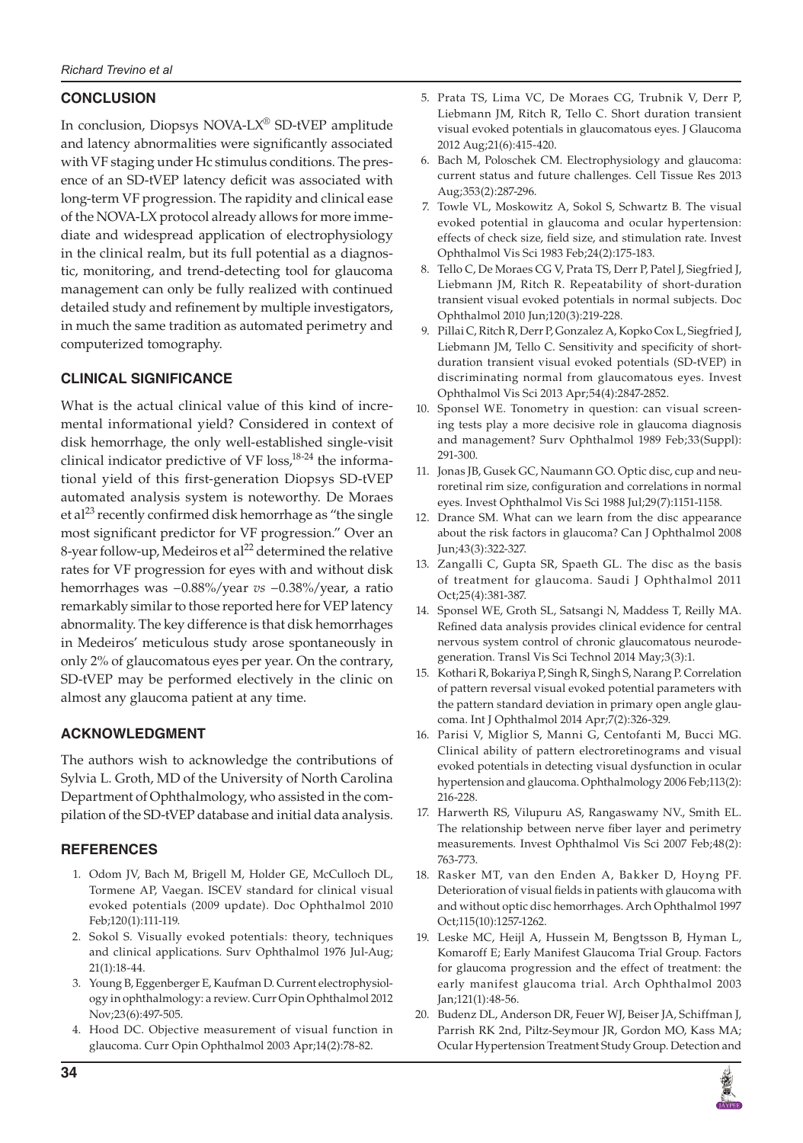# **CONCLUSION**

In conclusion, Diopsys NOVA-LX® SD-tVEP amplitude and latency abnormalities were significantly associated with VF staging under Hc stimulus conditions. The presence of an SD-tVEP latency deficit was associated with long-term VF progression. The rapidity and clinical ease of the NOVA-LX protocol already allows for more immediate and widespread application of electrophysiology in the clinical realm, but its full potential as a diagnostic, monitoring, and trend-detecting tool for glaucoma management can only be fully realized with continued detailed study and refinement by multiple investigators, in much the same tradition as automated perimetry and computerized tomography.

# **Clinical Significance**

What is the actual clinical value of this kind of incremental informational yield? Considered in context of disk hemorrhage, the only well-established single-visit clinical indicator predictive of VF loss, $18-24$  the informational yield of this first-generation Diopsys SD-tVEP automated analysis system is noteworthy. De Moraes et al<sup>23</sup> recently confirmed disk hemorrhage as "the single most significant predictor for VF progression." Over an 8-year follow-up, Medeiros et al<sup>22</sup> determined the relative rates for VF progression for eyes with and without disk hemorrhages was −0.88%/year *vs* −0.38%/year, a ratio remarkably similar to those reported here for VEP latency abnormality. The key difference is that disk hemorrhages in Medeiros' meticulous study arose spontaneously in only 2% of glaucomatous eyes per year. On the contrary, SD-tVEP may be performed electively in the clinic on almost any glaucoma patient at any time.

### **ACKNOWLEDGMENT**

The authors wish to acknowledge the contributions of Sylvia L. Groth, MD of the University of North Carolina Department of Ophthalmology, who assisted in the compilation of the SD-tVEP database and initial data analysis.

### **REFERENCES**

- 1. Odom JV, Bach M, Brigell M, Holder GE, McCulloch DL, Tormene AP, Vaegan. ISCEV standard for clinical visual evoked potentials (2009 update). Doc Ophthalmol 2010 Feb;120(1):111-119.
- 2. Sokol S. Visually evoked potentials: theory, techniques and clinical applications. Surv Ophthalmol 1976 Jul-Aug; 21(1):18-44.
- 3. Young B, Eggenberger E, Kaufman D. Current electrophysiology in ophthalmology: a review. Curr Opin Ophthalmol 2012 Nov;23(6):497-505.
- 4. Hood DC. Objective measurement of visual function in glaucoma. Curr Opin Ophthalmol 2003 Apr;14(2):78-82.
- 5. Prata TS, Lima VC, De Moraes CG, Trubnik V, Derr P, Liebmann JM, Ritch R, Tello C. Short duration transient visual evoked potentials in glaucomatous eyes. J Glaucoma 2012 Aug;21(6):415-420.
- 6. Bach M, Poloschek CM. Electrophysiology and glaucoma: current status and future challenges. Cell Tissue Res 2013 Aug;353(2):287-296.
- 7. Towle VL, Moskowitz A, Sokol S, Schwartz B. The visual evoked potential in glaucoma and ocular hypertension: effects of check size, field size, and stimulation rate. Invest Ophthalmol Vis Sci 1983 Feb;24(2):175-183.
- 8. Tello C, De Moraes CG V, Prata TS, Derr P, Patel J, Siegfried J, Liebmann JM, Ritch R. Repeatability of short-duration transient visual evoked potentials in normal subjects. Doc Ophthalmol 2010 Jun;120(3):219-228.
- 9. Pillai C, Ritch R, Derr P, Gonzalez A, Kopko Cox L, Siegfried J, Liebmann JM, Tello C. Sensitivity and specificity of shortduration transient visual evoked potentials (SD-tVEP) in discriminating normal from glaucomatous eyes. Invest Ophthalmol Vis Sci 2013 Apr;54(4):2847-2852.
- 10. Sponsel WE. Tonometry in question: can visual screening tests play a more decisive role in glaucoma diagnosis and management? Surv Ophthalmol 1989 Feb;33(Suppl): 291-300.
- 11. Jonas JB, Gusek GC, Naumann GO. Optic disc, cup and neuroretinal rim size, configuration and correlations in normal eyes. Invest Ophthalmol Vis Sci 1988 Jul;29(7):1151-1158.
- 12. Drance SM. What can we learn from the disc appearance about the risk factors in glaucoma? Can J Ophthalmol 2008 Jun;43(3):322-327.
- 13. Zangalli C, Gupta SR, Spaeth GL. The disc as the basis of treatment for glaucoma. Saudi J Ophthalmol 2011 Oct;25(4):381-387.
- 14. Sponsel WE, Groth SL, Satsangi N, Maddess T, Reilly MA. Refined data analysis provides clinical evidence for central nervous system control of chronic glaucomatous neurodegeneration. Transl Vis Sci Technol 2014 May;3(3):1.
- 15. Kothari R, Bokariya P, Singh R, Singh S, Narang P. Correlation of pattern reversal visual evoked potential parameters with the pattern standard deviation in primary open angle glaucoma. Int J Ophthalmol 2014 Apr;7(2):326-329.
- 16. Parisi V, Miglior S, Manni G, Centofanti M, Bucci MG. Clinical ability of pattern electroretinograms and visual evoked potentials in detecting visual dysfunction in ocular hypertension and glaucoma. Ophthalmology 2006 Feb;113(2): 216-228.
- 17. Harwerth RS, Vilupuru AS, Rangaswamy NV., Smith EL. The relationship between nerve fiber layer and perimetry measurements. Invest Ophthalmol Vis Sci 2007 Feb;48(2): 763-773.
- 18. Rasker MT, van den Enden A, Bakker D, Hoyng PF. Deterioration of visual fields in patients with glaucoma with and without optic disc hemorrhages. Arch Ophthalmol 1997 Oct;115(10):1257-1262.
- 19. Leske MC, Heijl A, Hussein M, Bengtsson B, Hyman L, Komaroff E; Early Manifest Glaucoma Trial Group. Factors for glaucoma progression and the effect of treatment: the early manifest glaucoma trial. Arch Ophthalmol 2003 Jan;121(1):48-56.
- 20. Budenz DL, Anderson DR, Feuer WJ, Beiser JA, Schiffman J, Parrish RK 2nd, Piltz-Seymour JR, Gordon MO, Kass MA; Ocular Hypertension Treatment Study Group. Detection and